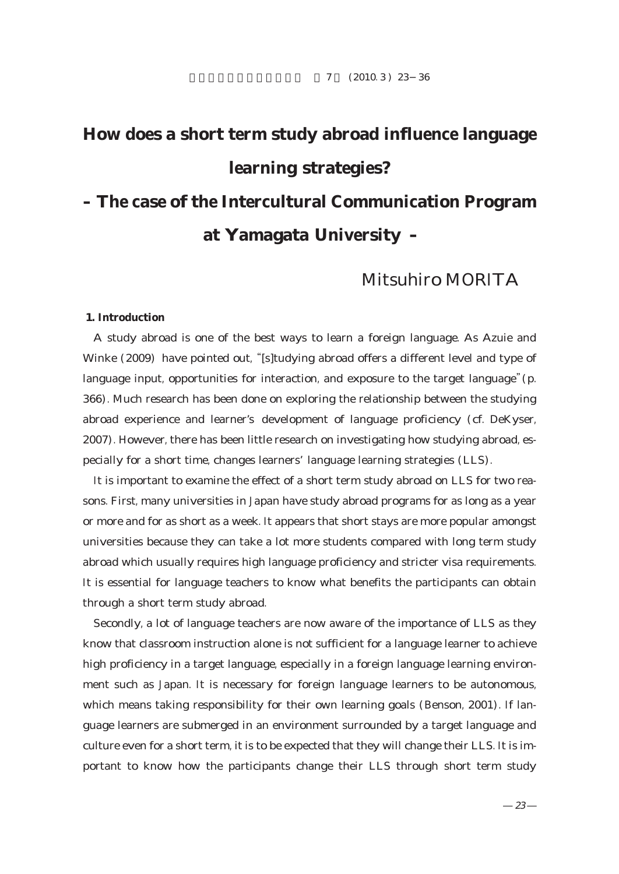# **How does a short term study abroad influence language learning strategies?**

## **- The case of the Intercultural Communication Program at Yamagata University -**

### Mitsuhiro MORITA

#### **1. Introduction**

A study abroad is one of the best ways to learn a foreign language. As Azuie and Winke (2009) have pointed out, "[s]tudying abroad offers a different level and type of language input, opportunities for interaction, and exposure to the target language" $(p.$ 366). Much research has been done on exploring the relationship between the studying abroad experience and learner's development of language proficiency (cf. DeKyser, 2007). However, there has been little research on investigating how studying abroad, especially for a short time, changes learners' language learning strategies (LLS).

It is important to examine the effect of a short term study abroad on LLS for two reasons. First, many universities in Japan have study abroad programs for as long as a year or more and for as short as a week. It appears that short stays are more popular amongst universities because they can take a lot more students compared with long term study abroad which usually requires high language proficiency and stricter visa requirements. It is essential for language teachers to know what benefits the participants can obtain through a short term study abroad.

Secondly, a lot of language teachers are now aware of the importance of LLS as they know that classroom instruction alone is not sufficient for a language learner to achieve high proficiency in a target language, especially in a foreign language learning environment such as Japan. It is necessary for foreign language learners to be autonomous, which means taking responsibility for their own learning goals (Benson, 2001). If language learners are submerged in an environment surrounded by a target language and culture even for a short term, it is to be expected that they will change their LLS. It is important to know how the participants change their LLS through short term study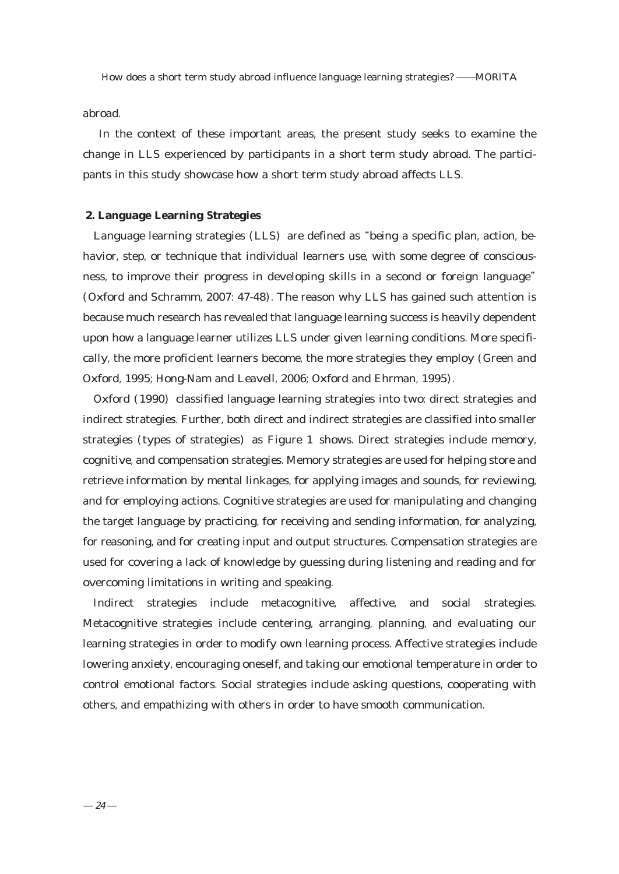How does a short term study abroad influence language learning strategies? —MORITA

abroad.

In the context of these important areas, the present study seeks to examine the change in LLS experienced by participants in a short term study abroad. The participants in this study showcase how a short term study abroad affects LLS.

#### **2. Language Learning Strategies**

Language learning strategies (LLS) are defined as "being a specific plan, action, behavior, step, or technique that individual learners use, with some degree of consciousness, to improve their progress in developing skills in a second or foreign language (Oxford and Schramm, 2007: 47-48). The reason why LLS has gained such attention is because much research has revealed that language learning success is heavily dependent upon how a language learner utilizes LLS under given learning conditions. More specifically, the more proficient learners become, the more strategies they employ (Green and Oxford, 1995; Hong-Nam and Leavell, 2006; Oxford and Ehrman, 1995).

Oxford (1990) classified language learning strategies into two: direct strategies and indirect strategies. Further, both direct and indirect strategies are classified into smaller strategies (types of strategies) as Figure 1 shows. Direct strategies include memory, cognitive, and compensation strategies. Memory strategies are used for helping store and retrieve information by mental linkages, for applying images and sounds, for reviewing, and for employing actions. Cognitive strategies are used for manipulating and changing the target language by practicing, for receiving and sending information, for analyzing, for reasoning, and for creating input and output structures. Compensation strategies are used for covering a lack of knowledge by guessing during listening and reading and for overcoming limitations in writing and speaking.

Indirect strategies include metacognitive, affective, and social strategies. Metacognitive strategies include centering, arranging, planning, and evaluating our learning strategies in order to modify own learning process. Affective strategies include lowering anxiety, encouraging oneself, and taking our emotional temperature in order to control emotional factors. Social strategies include asking questions, cooperating with others, and empathizing with others in order to have smooth communication.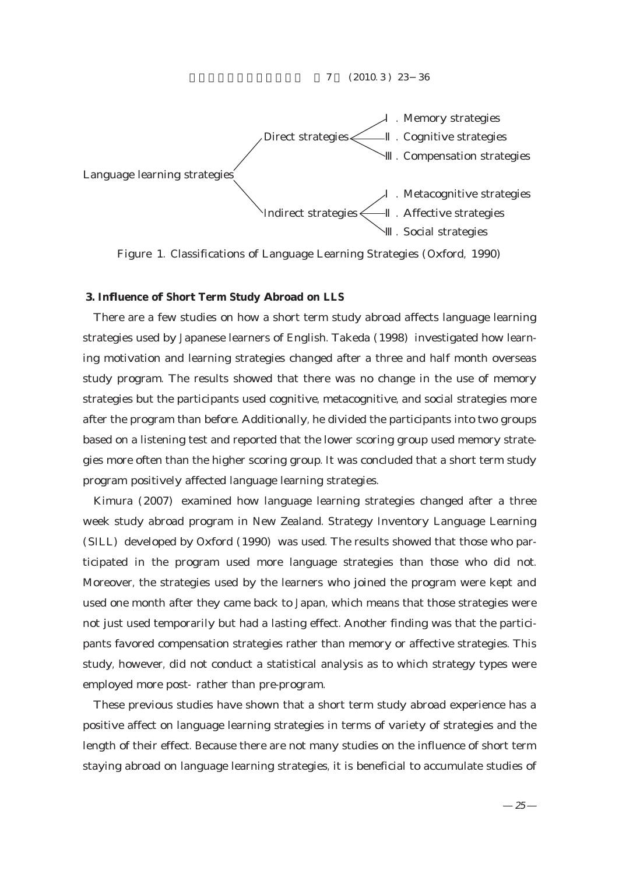

Figure 1. Classifications of Language Learning Strategies (Oxford, 1990)

#### **3. Influence of Short Term Study Abroad on LLS**

There are a few studies on how a short term study abroad affects language learning strategies used by Japanese learners of English. Takeda (1998) investigated how learning motivation and learning strategies changed after a three and half month overseas study program. The results showed that there was no change in the use of memory strategies but the participants used cognitive, metacognitive, and social strategies more after the program than before. Additionally, he divided the participants into two groups based on a listening test and reported that the lower scoring group used memory strategies more often than the higher scoring group. It was concluded that a short term study program positively affected language learning strategies.

Kimura (2007) examined how language learning strategies changed after a three week study abroad program in New Zealand. Strategy Inventory Language Learning (SILL) developed by Oxford (1990) was used. The results showed that those who participated in the program used more language strategies than those who did not. Moreover, the strategies used by the learners who joined the program were kept and used one month after they came back to Japan, which means that those strategies were not just used temporarily but had a lasting effect. Another finding was that the participants favored compensation strategies rather than memory or affective strategies. This study, however, did not conduct a statistical analysis as to which strategy types were employed more post- rather than pre-program.

These previous studies have shown that a short term study abroad experience has a positive affect on language learning strategies in terms of variety of strategies and the length of their effect. Because there are not many studies on the influence of short term staying abroad on language learning strategies, it is beneficial to accumulate studies of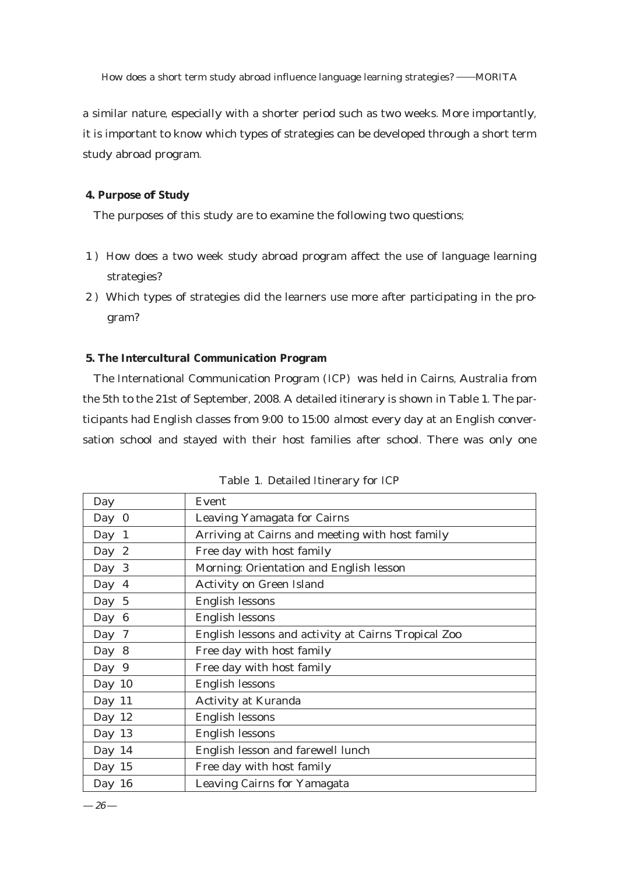How does a short term study abroad influence language learning strategies? -- MORITA

a similar nature, especially with a shorter period such as two weeks. More importantly, it is important to know which types of strategies can be developed through a short term study abroad program.

#### **4. Purpose of Study**

The purposes of this study are to examine the following two questions;

- 1 ) How does a two week study abroad program affect the use of language learning strategies?
- 2 ) Which types of strategies did the learners use more after participating in the program?

#### **5. The Intercultural Communication Program**

The International Communication Program (ICP) was held in Cairns, Australia from the 5th to the 21st of September, 2008. A detailed itinerary is shown in Table 1. The participants had English classes from 9:00 to 15:00 almost every day at an English conversation school and stayed with their host families after school. There was only one

| Day      | Event                                               |
|----------|-----------------------------------------------------|
| Day $0$  | Leaving Yamagata for Cairns                         |
| Day 1    | Arriving at Cairns and meeting with host family     |
| Day 2    | Free day with host family                           |
| Day 3    | Morning: Orientation and English lesson             |
| Day $4$  | Activity on Green Island                            |
| Day 5    | English lessons                                     |
| Day 6    | <b>English lessons</b>                              |
| Day 7    | English lessons and activity at Cairns Tropical Zoo |
| Day 8    | Free day with host family                           |
| Day 9    | Free day with host family                           |
| Day 10   | <b>English lessons</b>                              |
| Day 11   | Activity at Kuranda                                 |
| Day 12   | <b>English lessons</b>                              |
| Day 13   | <b>English lessons</b>                              |
| Day 14   | English lesson and farewell lunch                   |
| Day 15   | Free day with host family                           |
| Day $16$ | Leaving Cairns for Yamagata                         |

Table 1. Detailed Itinerary for ICP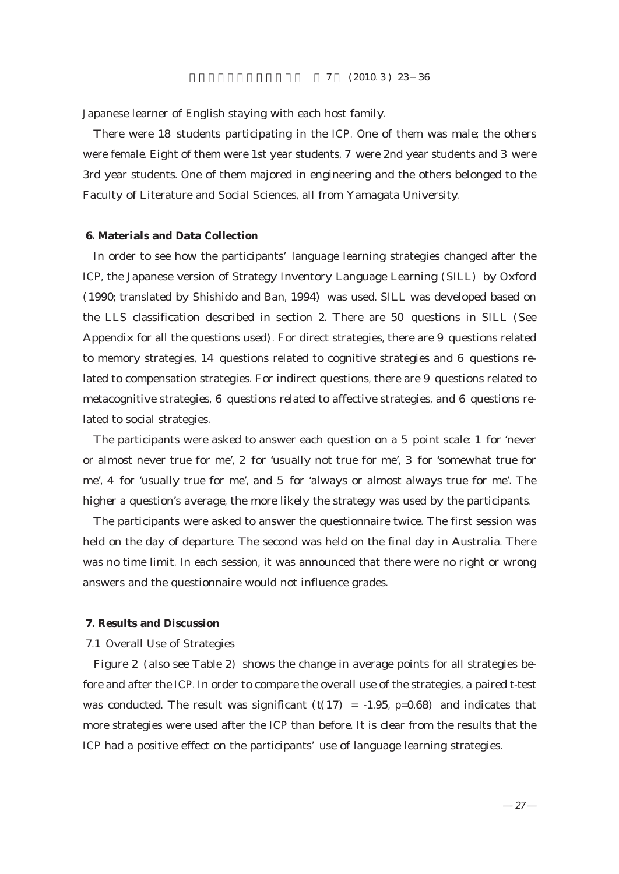Japanese learner of English staying with each host family.

There were 18 students participating in the ICP. One of them was male; the others were female. Eight of them were 1st year students, 7 were 2nd year students and 3 were 3rd year students. One of them majored in engineering and the others belonged to the Faculty of Literature and Social Sciences, all from Yamagata University.

#### **6. Materials and Data Collection**

In order to see how the participants' language learning strategies changed after the ICP, the Japanese version of Strategy Inventory Language Learning (SILL) by Oxford (1990; translated by Shishido and Ban, 1994) was used. SILL was developed based on the LLS classification described in section 2. There are 50 questions in SILL (See Appendix for all the questions used). For direct strategies, there are 9 questions related to memory strategies, 14 questions related to cognitive strategies and 6 questions related to compensation strategies. For indirect questions, there are 9 questions related to metacognitive strategies, 6 questions related to affective strategies, and 6 questions related to social strategies.

The participants were asked to answer each question on a 5 point scale: 1 for 'never or almost never true for me', 2 for 'usually not true for me', 3 for 'somewhat true for me', 4 for 'usually true for me', and 5 for 'always or almost always true for me'. The higher a question's average, the more likely the strategy was used by the participants.

The participants were asked to answer the questionnaire twice. The first session was held on the day of departure. The second was held on the final day in Australia. There was no time limit. In each session, it was announced that there were no right or wrong answers and the questionnaire would not influence grades.

#### **7. Results and Discussion**

#### 7.1 Overall Use of Strategies

Figure 2 (also see Table 2) shows the change in average points for all strategies before and after the ICP. In order to compare the overall use of the strategies, a paired t-test was conducted. The result was significant  $(t(17) = -1.95, p=0.68)$  and indicates that more strategies were used after the ICP than before. It is clear from the results that the ICP had a positive effect on the participants' use of language learning strategies.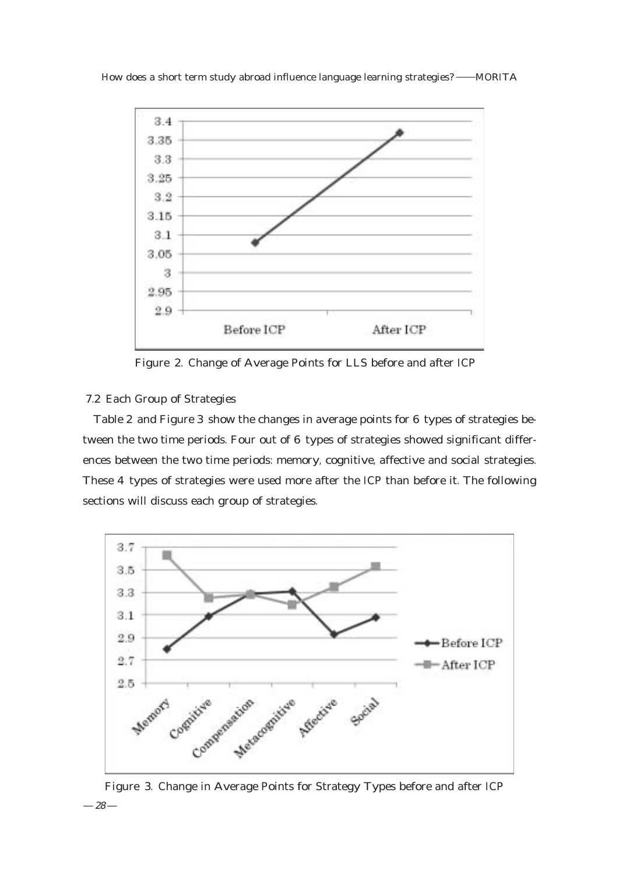



Figure 2. Change of Average Points for LLS before and after ICP

7.2 Each Group of Strategies

Table 2 and Figure 3 show the changes in average points for 6 types of strategies between the two time periods. Four out of 6 types of strategies showed significant differences between the two time periods: memory, cognitive, affective and social strategies. These 4 types of strategies were used more after the ICP than before it. The following sections will discuss each group of strategies.



Figure 3. Change in Average Points for Strategy Types before and after ICP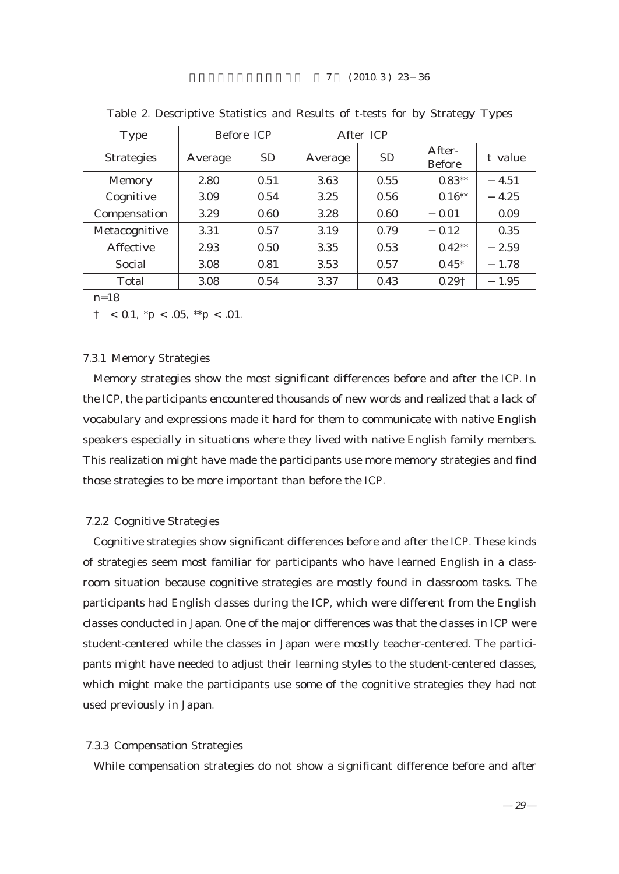| <b>Type</b>       | Before ICP |           | After ICP |           |                         |         |
|-------------------|------------|-----------|-----------|-----------|-------------------------|---------|
| <b>Strategies</b> | Average    | <b>SD</b> | Average   | <b>SD</b> | After-<br><b>Before</b> | t value |
| <b>Memory</b>     | 2.80       | 0.51      | 3.63      | 0.55      | $0.83**$                | 4.51    |
| Cognitive         | 3.09       | 0.54      | 3.25      | 0.56      | $0.16**$                | 4.25    |
| Compensation      | 3.29       | 0.60      | 3.28      | 0.60      | 0.01                    | 0.09    |
| Metacognitive     | 3.31       | 0.57      | 3.19      | 0.79      | 0.12                    | 0.35    |
| Affective         | 2.93       | 0.50      | 3.35      | 0.53      | $0.42**$                | 2.59    |
| Social            | 3.08       | 0.81      | 3.53      | 0.57      | $0.45*$                 | 1.78    |
| Total             | 3.08       | 0.54      | 3.37      | 0.43      | 0.29 <sup>†</sup>       | 1.95    |

Table 2. Descriptive Statistics and Results of t-tests for by Strategy Types

 $n=18$ 

 $\dagger$  < 0.1,  $^*p$  < .05,  $^{**}p$  < .01.

#### 7.3.1 Memory Strategies

Memory strategies show the most significant differences before and after the ICP. In the ICP, the participants encountered thousands of new words and realized that a lack of vocabulary and expressions made it hard for them to communicate with native English speakers especially in situations where they lived with native English family members. This realization might have made the participants use more memory strategies and find those strategies to be more important than before the ICP.

#### 7.2.2 Cognitive Strategies

Cognitive strategies show significant differences before and after the ICP. These kinds of strategies seem most familiar for participants who have learned English in a classroom situation because cognitive strategies are mostly found in classroom tasks. The participants had English classes during the ICP, which were different from the English classes conducted in Japan. One of the major differences was that the classes in ICP were student-centered while the classes in Japan were mostly teacher-centered. The participants might have needed to adjust their learning styles to the student-centered classes, which might make the participants use some of the cognitive strategies they had not used previously in Japan.

#### 7.3.3 Compensation Strategies

While compensation strategies do not show a significant difference before and after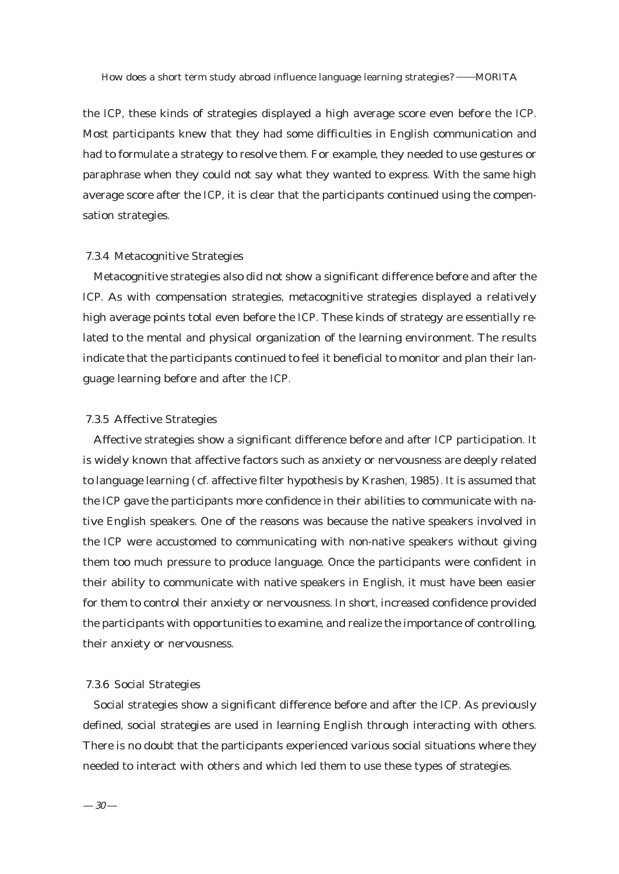How does a short term study abroad influence language learning strategies? -- MORITA

the ICP, these kinds of strategies displayed a high average score even before the ICP. Most participants knew that they had some difficulties in English communication and had to formulate a strategy to resolve them. For example, they needed to use gestures or paraphrase when they could not say what they wanted to express. With the same high average score after the ICP, it is clear that the participants continued using the compensation strategies.

#### 7.3.4 Metacognitive Strategies

Metacognitive strategies also did not show a significant difference before and after the ICP. As with compensation strategies, metacognitive strategies displayed a relatively high average points total even before the ICP. These kinds of strategy are essentially related to the mental and physical organization of the learning environment. The results indicate that the participants continued to feel it beneficial to monitor and plan their language learning before and after the ICP.

#### 7.3.5 Affective Strategies

Affective strategies show a significant difference before and after ICP participation. It is widely known that affective factors such as anxiety or nervousness are deeply related to language learning (cf. affective filter hypothesis by Krashen, 1985). It is assumed that the ICP gave the participants more confidence in their abilities to communicate with native English speakers. One of the reasons was because the native speakers involved in the ICP were accustomed to communicating with non-native speakers without giving them too much pressure to produce language. Once the participants were confident in their ability to communicate with native speakers in English, it must have been easier for them to control their anxiety or nervousness. In short, increased confidence provided the participants with opportunities to examine, and realize the importance of controlling, their anxiety or nervousness.

#### 7.3.6 Social Strategies

Social strategies show a significant difference before and after the ICP. As previously defined, social strategies are used in learning English through interacting with others. There is no doubt that the participants experienced various social situations where they needed to interact with others and which led them to use these types of strategies.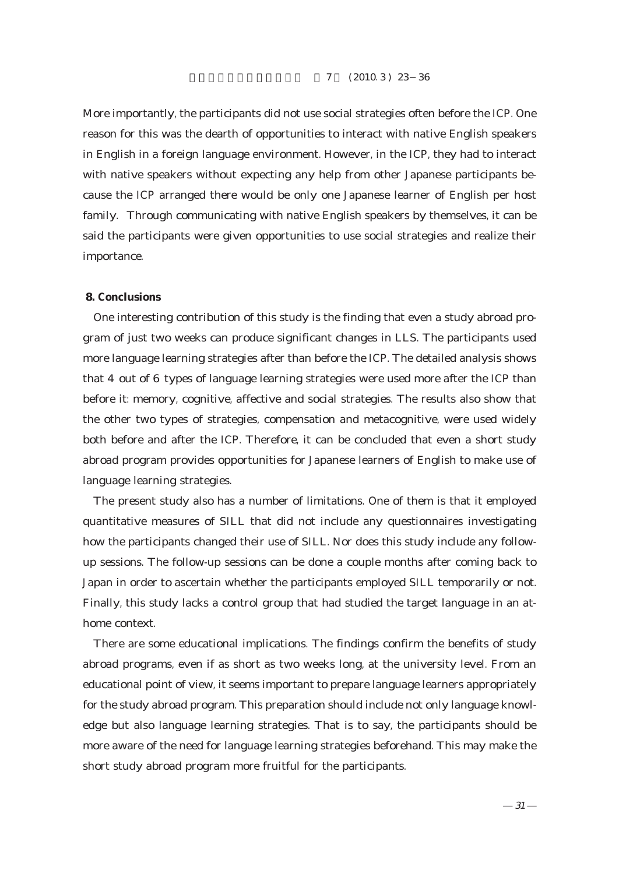More importantly, the participants did not use social strategies often before the ICP. One reason for this was the dearth of opportunities to interact with native English speakers in English in a foreign language environment. However, in the ICP, they had to interact with native speakers without expecting any help from other Japanese participants because the ICP arranged there would be only one Japanese learner of English per host family. Through communicating with native English speakers by themselves, it can be said the participants were given opportunities to use social strategies and realize their importance.

#### **8. Conclusions**

One interesting contribution of this study is the finding that even a study abroad program of just two weeks can produce significant changes in LLS. The participants used more language learning strategies after than before the ICP. The detailed analysis shows that 4 out of 6 types of language learning strategies were used more after the ICP than before it: memory, cognitive, affective and social strategies. The results also show that the other two types of strategies, compensation and metacognitive, were used widely both before and after the ICP. Therefore, it can be concluded that even a short study abroad program provides opportunities for Japanese learners of English to make use of language learning strategies.

The present study also has a number of limitations. One of them is that it employed quantitative measures of SILL that did not include any questionnaires investigating how the participants changed their use of SILL. Nor does this study include any followup sessions. The follow-up sessions can be done a couple months after coming back to Japan in order to ascertain whether the participants employed SILL temporarily or not. Finally, this study lacks a control group that had studied the target language in an athome context.

There are some educational implications. The findings confirm the benefits of study abroad programs, even if as short as two weeks long, at the university level. From an educational point of view, it seems important to prepare language learners appropriately for the study abroad program. This preparation should include not only language knowledge but also language learning strategies. That is to say, the participants should be more aware of the need for language learning strategies beforehand. This may make the short study abroad program more fruitful for the participants.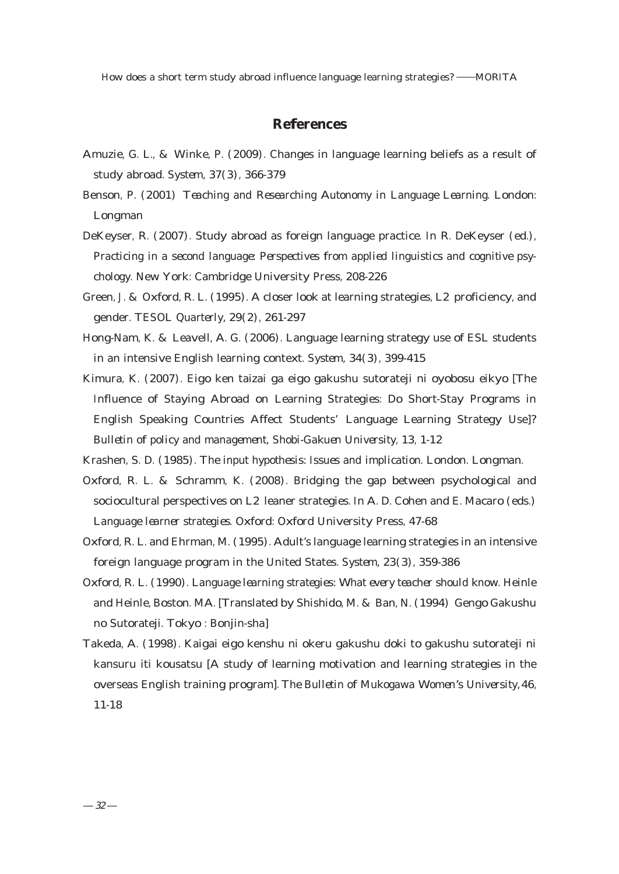How does a short term study abroad influence language learning strategies? —MORITA

#### **References**

- Amuzie, G. L., & Winke, P. (2009). Changes in language learning beliefs as a result of study abroad. *System, 37*(3), 366-379
- Benson, P. (2001) *Teaching and Researching Autonomy in Language Learning*. London: Longman
- DeKeyser, R. (2007). Study abroad as foreign language practice. In R. DeKeyser (ed.), *Practicing in a second language: Perspectives from applied linguistics and cognitive psychology*. New York: Cambridge University Press, 208-226
- Green, J. & Oxford, R. L. (1995). A closer look at learning strategies, L2 proficiency, and gender. *TESOL Quarterly, 29*(2), 261-297
- Hong-Nam, K. & Leavell, A. G. (2006). Language learning strategy use of ESL students in an intensive English learning context. *System, 34*(3), 399-415
- Kimura, K. (2007). Eigo ken taizai ga eigo gakushu sutorateji ni oyobosu eikyo [The Influence of Staying Abroad on Learning Strategies: Do Short-Stay Programs in English Speaking Countries Affect Students' Language Learning Strategy Use]? *Bulletin of policy and management, Shobi-Gakuen University*, 13, 1-12

Krashen, S. D. (1985). *The input hypothesis: Issues and implication*. London. Longman.

- Oxford, R. L. & Schramm, K. (2008). Bridging the gap between psychological and sociocultural perspectives on L2 leaner strategies. In A. D. Cohen and E. Macaro (eds.) *Language learner strategies*. Oxford: Oxford University Press, 47-68
- Oxford, R. L. and Ehrman, M. (1995). Adult's language learning strategies in an intensive foreign language program in the United States. *System, 23*(3), 359-386
- Oxford, R. L. (1990). *Language learning strategies: What every teacher should know*. Heinle and Heinle, Boston. MA. [Translated by Shishido, M. & Ban, N. (1994) Gengo Gakushu no Sutorateji. Tokyo : Bonjin-sha]
- Takeda, A. (1998). Kaigai eigo kenshu ni okeru gakushu doki to gakushu sutorateji ni kansuru iti kousatsu [A study of learning motivation and learning strategies in the overseas English training program]. *The Bulletin of Mukogawa Women's University,46*, 11-18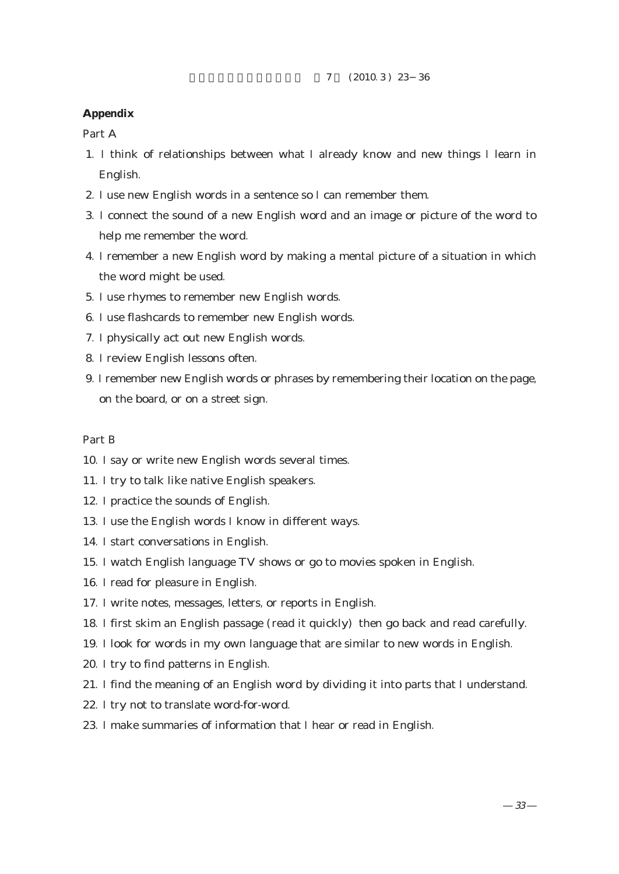$7 (2010.3) 23 36$ 

#### **Appendix**

Part A

- 1. I think of relationships between what I already know and new things I learn in English.
- 2. I use new English words in a sentence so I can remember them.
- 3. I connect the sound of a new English word and an image or picture of the word to help me remember the word.
- 4. I remember a new English word by making a mental picture of a situation in which the word might be used.
- 5. I use rhymes to remember new English words.
- 6. I use flashcards to remember new English words.
- 7. I physically act out new English words.
- 8. I review English lessons often.
- 9. I remember new English words or phrases by remembering their location on the page, on the board, or on a street sign.

#### Part B

- 10. I say or write new English words several times.
- 11. I try to talk like native English speakers.
- 12. I practice the sounds of English.
- 13. I use the English words I know in different ways.
- 14. I start conversations in English.
- 15. I watch English language TV shows or go to movies spoken in English.
- 16. I read for pleasure in English.
- 17. I write notes, messages, letters, or reports in English.
- 18. I first skim an English passage (read it quickly) then go back and read carefully.
- 19. I look for words in my own language that are similar to new words in English.
- 20. I try to find patterns in English.
- 21. I find the meaning of an English word by dividing it into parts that I understand.
- 22. I try not to translate word-for-word.
- 23. I make summaries of information that I hear or read in English.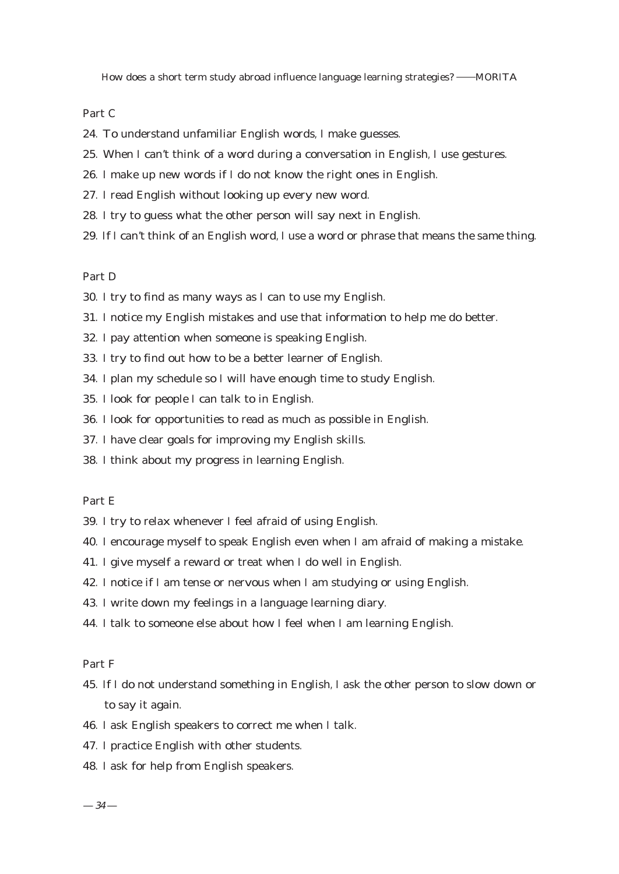How does a short term study abroad influence language learning strategies? -- MORITA

Part C

- 24. To understand unfamiliar English words, I make guesses.
- 25. When I can't think of a word during a conversation in English, I use gestures.
- 26. I make up new words if I do not know the right ones in English.
- 27. I read English without looking up every new word.
- 28. I try to guess what the other person will say next in English.
- 29. If I can't think of an English word, I use a word or phrase that means the same thing.

Part D

- 30. I try to find as many ways as I can to use my English.
- 31. I notice my English mistakes and use that information to help me do better.
- 32. I pay attention when someone is speaking English.
- 33. I try to find out how to be a better learner of English.
- 34. I plan my schedule so I will have enough time to study English.
- 35. I look for people I can talk to in English.
- 36. I look for opportunities to read as much as possible in English.
- 37. I have clear goals for improving my English skills.
- 38. I think about my progress in learning English.

#### Part E

- 39. I try to relax whenever I feel afraid of using English.
- 40. I encourage myself to speak English even when I am afraid of making a mistake.
- 41. I give myself a reward or treat when I do well in English.
- 42. I notice if I am tense or nervous when I am studying or using English.
- 43. I write down my feelings in a language learning diary.
- 44. I talk to someone else about how I feel when I am learning English.

#### Part F

- 45. If I do not understand something in English, I ask the other person to slow down or to say it again.
- 46. I ask English speakers to correct me when I talk.
- 47. I practice English with other students.
- 48. I ask for help from English speakers.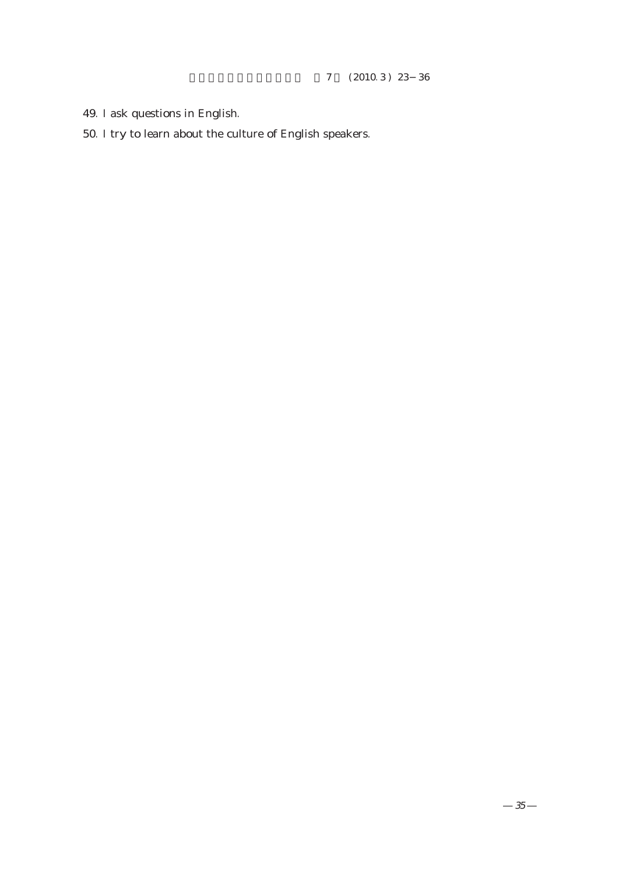$7 (2010.3) 23 36$ 

- 49. I ask questions in English.
- 50. I try to learn about the culture of English speakers.